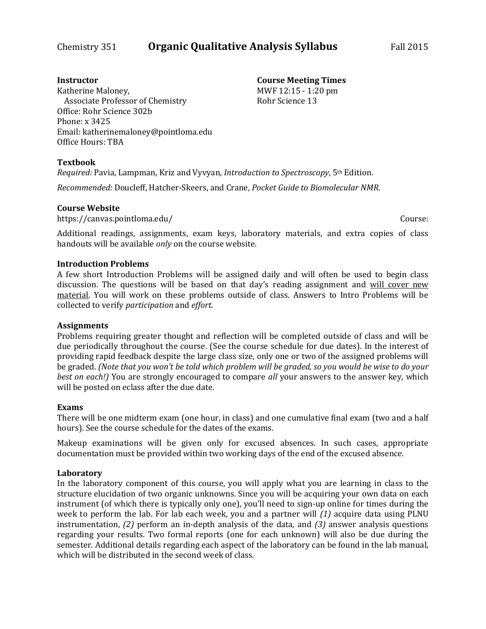#### **Instructor**

**Course Meeting Times** MWF 12:15 - 1:20 pm

Rohr Science 13

Katherine Maloney, Associate Professor of Chemistry Office: Rohr Science 302b Phone: x 3425 Email: katherinemaloney@pointloma.edu Office Hours: TBA

## **Textbook**

*Required:* Pavia, Lampman, Kriz and Vyvyan, *Introduction to Spectroscopy*, 5th Edition.

*Recommended:* Doucleff, Hatcher-Skeers, and Crane, *Pocket Guide to Biomolecular NMR*.

## **Course Website**

https://canvas.pointloma.edu/ Course:

Additional readings, assignments, exam keys, laboratory materials, and extra copies of class handouts will be available *only* on the course website.

#### **Introduction Problems**

A few short Introduction Problems will be assigned daily and will often be used to begin class discussion. The questions will be based on that day's reading assignment and will cover new material. You will work on these problems outside of class. Answers to Intro Problems will be collected to verify *participation* and *effort*.

## **Assignments**

Problems requiring greater thought and reflection will be completed outside of class and will be due periodically throughout the course. (See the course schedule for due dates). In the interest of providing rapid feedback despite the large class size, only one or two of the assigned problems will be graded. *(Note that you won't be told which problem will be graded, so you would be wise to do your best on each!)* You are strongly encouraged to compare *all* your answers to the answer key, which will be posted on eclass after the due date.

## **Exams**

There will be one midterm exam (one hour, in class) and one cumulative final exam (two and a half hours). See the course schedule for the dates of the exams.

Makeup examinations will be given only for excused absences. In such cases, appropriate documentation must be provided within two working days of the end of the excused absence.

## **Laboratory**

In the laboratory component of this course, you will apply what you are learning in class to the structure elucidation of two organic unknowns. Since you will be acquiring your own data on each instrument (of which there is typically only one), you'll need to sign-up online for times during the week to perform the lab. For lab each week, you and a partner will *(1)* acquire data using PLNU instrumentation, *(2)* perform an in-depth analysis of the data, and *(3)* answer analysis questions regarding your results. Two formal reports (one for each unknown) will also be due during the semester. Additional details regarding each aspect of the laboratory can be found in the lab manual, which will be distributed in the second week of class.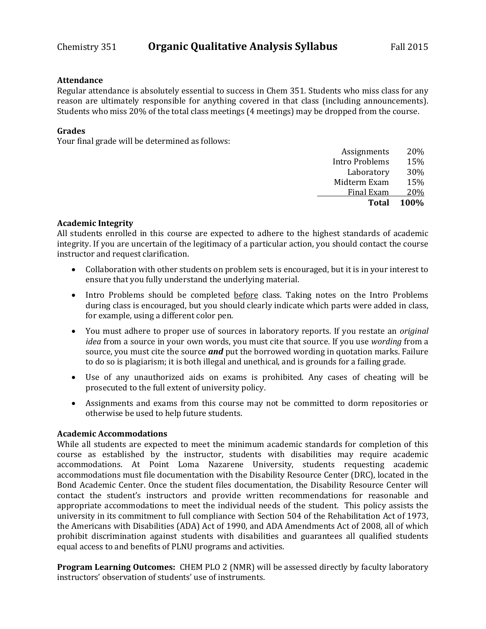#### **Attendance**

Regular attendance is absolutely essential to success in Chem 351. Students who miss class for any reason are ultimately responsible for anything covered in that class (including announcements). Students who miss 20% of the total class meetings (4 meetings) may be dropped from the course.

#### **Grades**

Your final grade will be determined as follows:

| <b>Total</b>          | 100% |
|-----------------------|------|
| <b>Final Exam</b>     | 20%  |
| Midterm Exam          | 15%  |
| Laboratory            | 30%  |
| <b>Intro Problems</b> | 15%  |
| Assignments           | 20%  |

#### **Academic Integrity**

All students enrolled in this course are expected to adhere to the highest standards of academic integrity. If you are uncertain of the legitimacy of a particular action, you should contact the course instructor and request clarification.

- Collaboration with other students on problem sets is encouraged, but it is in your interest to ensure that you fully understand the underlying material.
- Intro Problems should be completed before class. Taking notes on the Intro Problems during class is encouraged, but you should clearly indicate which parts were added in class, for example, using a different color pen.
- You must adhere to proper use of sources in laboratory reports. If you restate an *original idea* from a source in your own words, you must cite that source. If you use *wording* from a source, you must cite the source *and* put the borrowed wording in quotation marks. Failure to do so is plagiarism; it is both illegal and unethical, and is grounds for a failing grade.
- Use of any unauthorized aids on exams is prohibited. Any cases of cheating will be prosecuted to the full extent of university policy.
- Assignments and exams from this course may not be committed to dorm repositories or otherwise be used to help future students.

#### **Academic Accommodations**

While all students are expected to meet the minimum academic standards for completion of this course as established by the instructor, students with disabilities may require academic accommodations. At Point Loma Nazarene University, students requesting academic accommodations must file documentation with the Disability Resource Center (DRC), located in the Bond Academic Center. Once the student files documentation, the Disability Resource Center will contact the student's instructors and provide written recommendations for reasonable and appropriate accommodations to meet the individual needs of the student. This policy assists the university in its commitment to full compliance with Section 504 of the Rehabilitation Act of 1973, the Americans with Disabilities (ADA) Act of 1990, and ADA Amendments Act of 2008, all of which prohibit discrimination against students with disabilities and guarantees all qualified students equal access to and benefits of PLNU programs and activities.

**Program Learning Outcomes:** CHEM PLO 2 (NMR) will be assessed directly by faculty laboratory instructors' observation of students' use of instruments.